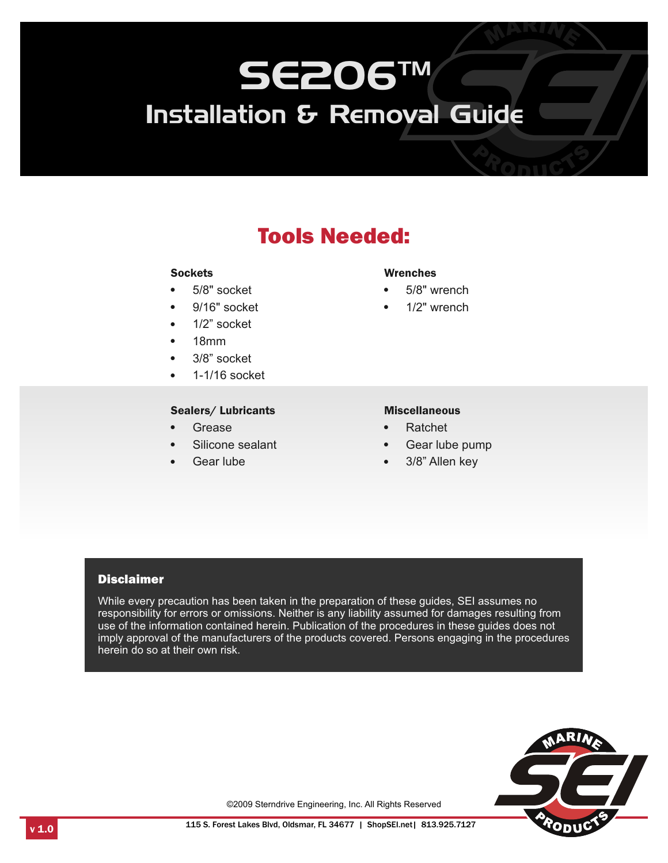## Tools Needed:

#### **Sockets**

- **Sockets**<br>● 5/8" soc • 5/8" socket<br>• 9/16" socke
- $\cdot$  9/16" socket
- 1/2" socket<br>• 18mm
- 18mm<br>• 3/8" soc
- 3/8" socket
- 1-1/16 socket

## Sealers/Lubricants<br>• Grease

- Grease<br>• Silicone
- Silicone sealant<br>• Gear lube
- 

- Wrenches<br>•  $5/8"$  wrench
- 5/8" wrench 1/2" wrench

- 
- **Gear Lubricants Miscellaneous**<br>Grease Ratchet Silicone sealant Gear lube pump<br>Gear lube 3/8" Allen key
	- 3/8" Allen key

#### **Disclaimer**

While every precaution has been taken in the preparation of these guides, SEI assumes no responsibility for errors or omissions. Neither is any liability assumed for damages resulting from use of the information contained herein. Publication of the procedures in these guides does not imply approval of the manufacturers of the products covered. Persons engaging in the procedures herein do so at their own risk.



©2009 Sterndrive Engineering, Inc. All Rights Reserved

 $v$  1.0 **115 S.** Forest Lakes Blvd, Oldsmar, FL 34677 | ShopSEI.net | 813.925.7127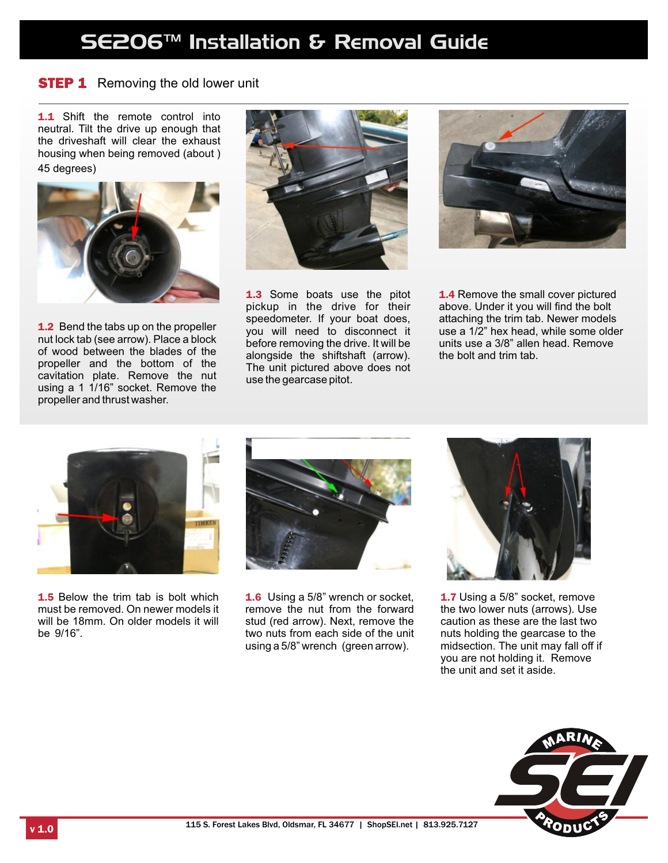### **STEP 1** Removing the old lower unit

1.1 Shift the remote control into neutral. Tilt the drive up enough that the driveshaft will clear the exhaust housing when being removed (about ) 45 degrees)



**1.2** Bend the tabs up on the propeller nut lock tab (see arrow). Place a block of wood between the blades of the propeller and the bottom of the cavitation plate. Remove the nut using a 1 1/16" socket. Remove the propeller and thrust washer.



1.3 Some boats use the pitot pickup in the drive for their speedometer. If your boat does, you will need to disconnect it before removing the drive. It will be alongside the shiftshaft (arrow). The unit pictured above does not use the gearcase pitot.



1.4 Remove the small cover pictured above. Under it you will find the bolt attaching the trim tab. Newer models use a 1/2" hex head, while some older units use a 3/8" allen head. Remove the bolt and trim tab.



**1.5** Below the trim tab is bolt which must be removed. On newer models it will be 18mm. On older models it will be 9/16".



1.6 Using a 5/8" wrench or socket, remove the nut from the forward stud (red arrow). Next, remove the two nuts from each side of the unit using a 5/8" wrench (green arrow).



1.7 Using a 5/8" socket, remove the two lower nuts (arrows). Use caution as these are the last two nuts holding the gearcase to the midsection. The unit may fall off if you are not holding it. Remove the unit and set it aside.

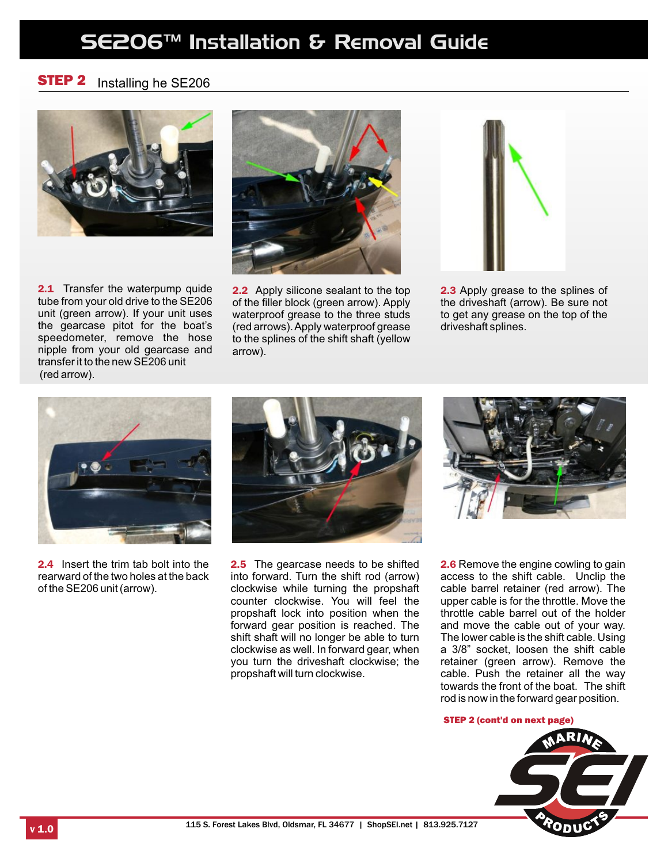#### STEP 2 Installing he SE206



2.1 Transfer the waterpump quide tube from your old drive to the SE206 unit (green arrow). If your unit uses the gearcase pitot for the boat's speedometer, remove the hose nipple from your old gearcase and transfer it to the new SE206 unit (red arrow).



2.2 Apply silicone sealant to the top of the filler block (green arrow). Apply waterproof grease to the three studs (red arrows). Apply waterproof grease to the splines of the shift shaft (yellow arrow).



2.3 Apply grease to the splines of the driveshaft (arrow). Be sure not to get any grease on the top of the driveshaft splines.



2.4 Insert the trim tab bolt into the rearward of the two holes at the back of the SE206 unit (arrow).



2.5 The gearcase needs to be shifted into forward. Turn the shift rod (arrow) clockwise while turning the propshaft counter clockwise. You will feel the propshaft lock into position when the forward gear position is reached. The shift shaft will no longer be able to turn clockwise as well. In forward gear, when you turn the driveshaft clockwise; the propshaft will turn clockwise.



2.6 Remove the engine cowling to gain access to the shift cable. Unclip the cable barrel retainer (red arrow). The upper cable is for the throttle. Move the throttle cable barrel out of the holder and move the cable out of your way. The lower cable is the shift cable. Using a 3/8" socket, loosen the shift cable retainer (green arrow). Remove the cable. Push the retainer all the way towards the front of the boat. The shift rod is now in the forward gear position.

#### STEP 2 (cont'd on next page)

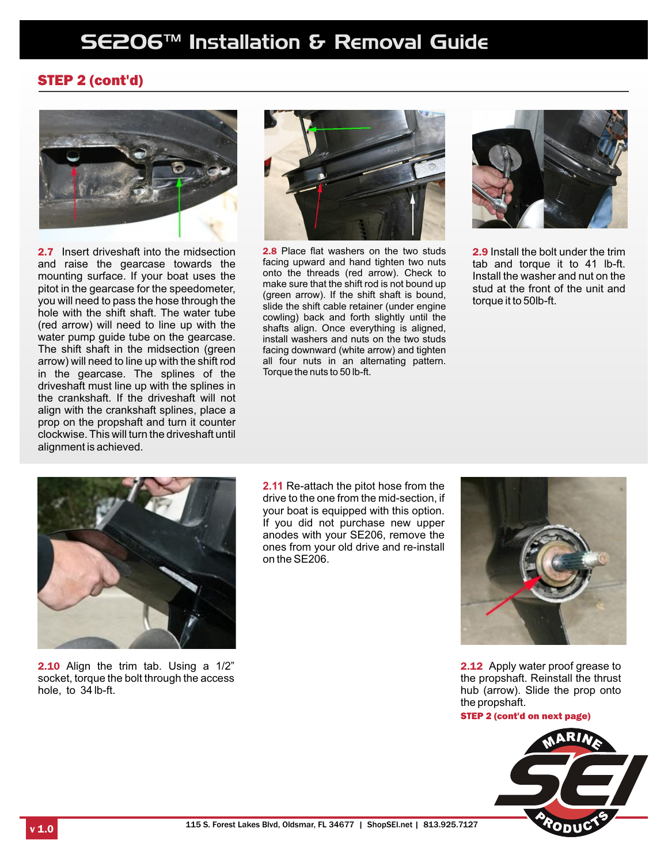### STEP 2 (cont'd)



2.7 Insert driveshaft into the midsection and raise the gearcase towards the mounting surface. If your boat uses the pitot in the gearcase for the speedometer, you will need to pass the hose through the hole with the shift shaft. The water tube (red arrow) will need to line up with the water pump guide tube on the gearcase. The shift shaft in the midsection (green arrow) will need to line up with the shift rod in the gearcase. The splines of the driveshaft must line up with the splines in the crankshaft. If the driveshaft will not align with the crankshaft splines, place a prop on the propshaft and turn it counter clockwise. This will turn the driveshaft until alignment is achieved.



2.8 Place flat washers on the two studs facing upward and hand tighten two nuts onto the threads (red arrow). Check to make sure that the shift rod is not bound up (green arrow). If the shift shaft is bound, slide the shift cable retainer (under engine cowling) back and forth slightly until the shafts align. Once everything is aligned, install washers and nuts on the two studs facing downward (white arrow) and tighten all four nuts in an alternating pattern. Torque the nuts to 50 lb-ft.



2.9 Install the bolt under the trim tab and torque it to 41 lb-ft. Install the washer and nut on the stud at the front of the unit and torque it to 50lb-ft.



**2.10** Align the trim tab. Using a 1/2" socket, torque the bolt through the access hole, to 34 lb-ft.

**2.11** Re-attach the pitot hose from the drive to the one from the mid-section, if your boat is equipped with this option. If you did not purchase new upper anodes with your SE206, remove the ones from your old drive and re-install on the SE206.



**2.12** Apply water proof grease to the propshaft. Reinstall the thrust hub (arrow). Slide the prop onto the propshaft.

STEP 2 (cont'd on next page)